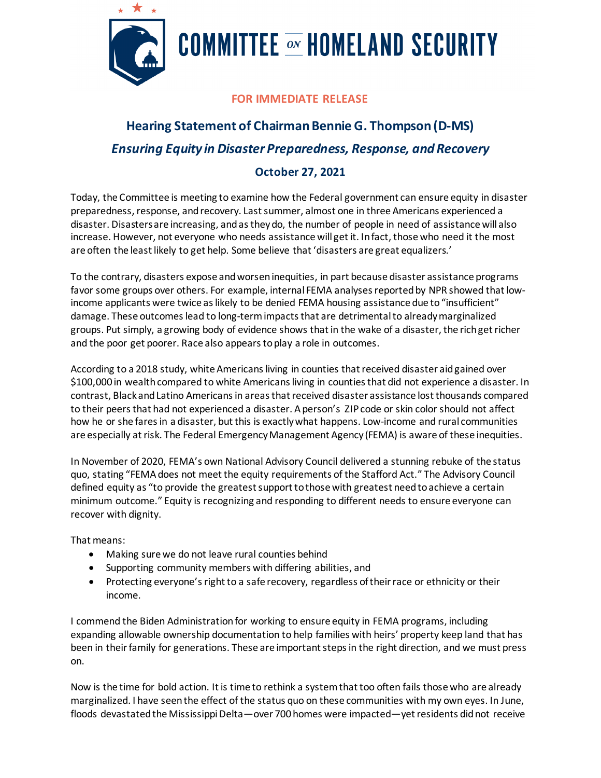

## **COMMITTEE ON HOMELAND SECURITY**

## **FOR IMMEDIATE RELEASE**

## **Hearing Statement of Chairman Bennie G. Thompson (D-MS)**  *Ensuring Equity in Disaster Preparedness, Response, and Recovery*

## **October 27, 2021**

Today, the Committee is meeting to examine how the Federal government can ensure equity in disaster preparedness, response, and recovery. Last summer, almost one in three Americans experienced a disaster. Disasters are increasing, and as they do, the number of people in need of assistance will also increase. However, not everyone who needs assistance will get it. In fact, those who need it the most are often the least likely to get help. Some believe that 'disasters are great equalizers.'

To the contrary, disasters expose and worsen inequities, in part because disaster assistance programs favor some groups over others. For example, internal FEMA analyses reported by NPR showed that lowincome applicants were twice as likely to be denied FEMA housing assistance due to "insufficient" damage. These outcomes lead to long-term impacts that are detrimental to already marginalized groups. Put simply, a growing body of evidence shows that in the wake of a disaster, the rich get richer and the poor get poorer. Race also appears to play a role in outcomes.

According to a 2018 study, white Americans living in counties that received disaster aid gained over \$100,000 in wealth compared to white Americans living in counties that did not experience a disaster. In contrast, Black and Latino Americans in areas that received disaster assistance lost thousands compared to their peers that had not experienced a disaster. A person's ZIP code or skin color should not affect how he or she fares in a disaster, but this is exactlywhat happens. Low-income and rural communities are especially at risk. The Federal Emergency Management Agency (FEMA) is aware of these inequities.

In November of 2020, FEMA's own National Advisory Council delivered a stunning rebuke of the status quo, stating "FEMA does not meet the equity requirements of the Stafford Act." The Advisory Council defined equity as "to provide the greatest support to those with greatest need to achieve a certain minimum outcome." Equity is recognizing and responding to different needs to ensure everyone can recover with dignity.

That means:

- Making sure we do not leave rural counties behind
- Supporting community members with differing abilities, and
- Protecting everyone's right to a safe recovery, regardless of their race or ethnicity or their income.

I commend the Biden Administration for working to ensure equity in FEMA programs, including expanding allowable ownership documentation to help families with heirs' property keep land that has been in their family for generations. These are important steps in the right direction, and we must press on.

Now is the time for bold action. It is time to rethink a system that too often fails those who are already marginalized. I have seen the effect of the status quo on these communities with my own eyes. In June, floods devastated the Mississippi Delta—over 700 homes were impacted—yet residents did not receive